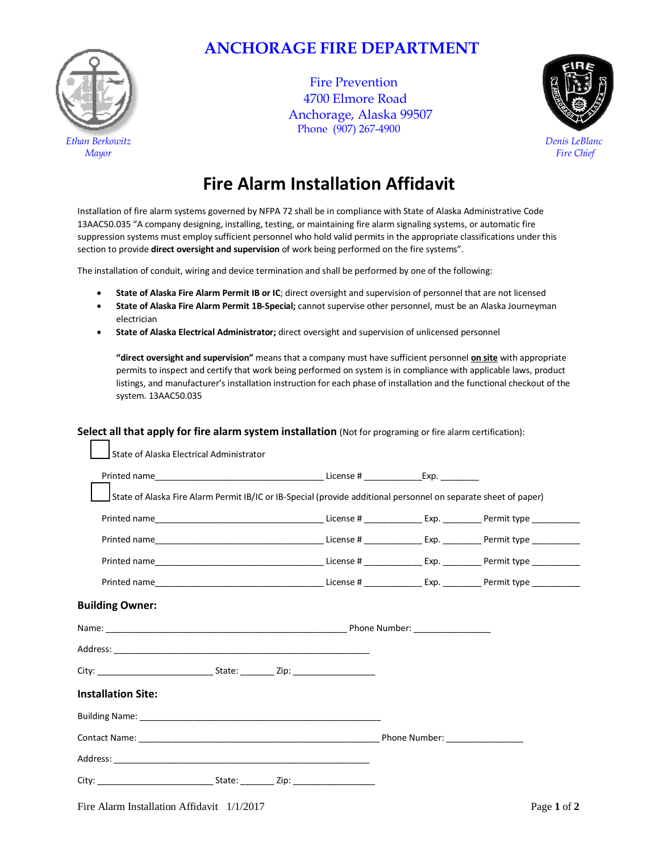

## **ANCHORAGE FIRE DEPARTMENT**

 Fire Prevention 4700 Elmore Road Anchorage, Alaska 99507 Phone (907) 267-4900



## **Fire Alarm Installation Affidavit**

Installation of fire alarm systems governed by NFPA 72 shall be in compliance with State of Alaska Administrative Code 13AAC50.035 "A company designing, installing, testing, or maintaining fire alarm signaling systems, or automatic fire suppression systems must employ sufficient personnel who hold valid permits in the appropriate classifications under this section to provide **direct oversight and supervision** of work being performed on the fire systems".

The installation of conduit, wiring and device termination and shall be performed by one of the following:

- **State of Alaska Fire Alarm Permit IB or IC**; direct oversight and supervision of personnel that are not licensed
- **State of Alaska Fire Alarm Permit 1B-Special;** cannot supervise other personnel, must be an Alaska Journeyman electrician
- **State of Alaska Electrical Administrator;** direct oversight and supervision of unlicensed personnel

**"direct oversight and supervision"** means that a company must have sufficient personnel **on site** with appropriate permits to inspect and certify that work being performed on system is in compliance with applicable laws, product listings, and manufacturer's installation instruction for each phase of installation and the functional checkout of the system. 13AAC50.035

| State of Alaska Electrical Administrator                                                                        |                                              |  |  |  |  |
|-----------------------------------------------------------------------------------------------------------------|----------------------------------------------|--|--|--|--|
|                                                                                                                 |                                              |  |  |  |  |
| State of Alaska Fire Alarm Permit IB/IC or IB-Special (provide additional personnel on separate sheet of paper) |                                              |  |  |  |  |
|                                                                                                                 |                                              |  |  |  |  |
|                                                                                                                 |                                              |  |  |  |  |
|                                                                                                                 |                                              |  |  |  |  |
|                                                                                                                 |                                              |  |  |  |  |
| <b>Building Owner:</b>                                                                                          |                                              |  |  |  |  |
|                                                                                                                 |                                              |  |  |  |  |
|                                                                                                                 |                                              |  |  |  |  |
|                                                                                                                 |                                              |  |  |  |  |
| <b>Installation Site:</b>                                                                                       |                                              |  |  |  |  |
|                                                                                                                 |                                              |  |  |  |  |
|                                                                                                                 |                                              |  |  |  |  |
|                                                                                                                 |                                              |  |  |  |  |
|                                                                                                                 | State: _________ Zip: ______________________ |  |  |  |  |

## **Select all that apply for fire alarm system installation** (Not for programing or fire alarm certification):